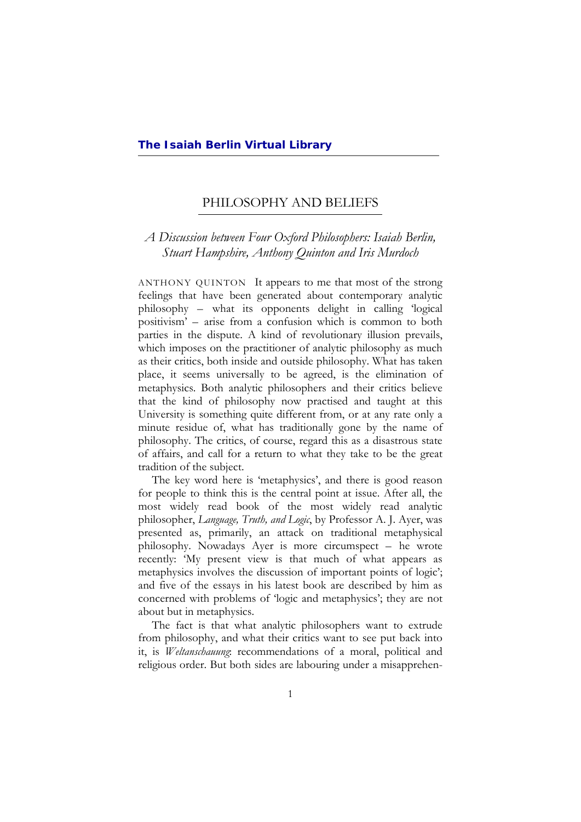#### PHILOSOPHY AND BELIEFS  $\overline{a}$

# *A Discussion between Four Oxford Philosophers: Isaiah Berlin, Stuart Hampshire, Anthony Quinton and Iris Murdoch*

ANTHONY QUINTON It appears to me that most of the strong feelings that have been generated about contemporary analytic philosophy – what its opponents delight in calling 'logical positivism' – arise from a confusion which is common to both parties in the dispute. A kind of revolutionary illusion prevails, which imposes on the practitioner of analytic philosophy as much as their critics, both inside and outside philosophy. What has taken place, it seems universally to be agreed, is the elimination of metaphysics. Both analytic philosophers and their critics believe that the kind of philosophy now practised and taught at this University is something quite different from, or at any rate only a minute residue of, what has traditionally gone by the name of philosophy. The critics, of course, regard this as a disastrous state of affairs, and call for a return to what they take to be the great tradition of the subject.

The key word here is 'metaphysics', and there is good reason for people to think this is the central point at issue. After all, the most widely read book of the most widely read analytic philosopher, *Language, Truth, and Logic*, by Professor A. J. Ayer, was presented as, primarily, an attack on traditional metaphysical philosophy. Nowadays Ayer is more circumspect – he wrote recently: 'My present view is that much of what appears as metaphysics involves the discussion of important points of logic'; and five of the essays in his latest book are described by him as concerned with problems of 'logic and metaphysics'; they are not about but in metaphysics.

The fact is that what analytic philosophers want to extrude from philosophy, and what their critics want to see put back into it, is *Weltanschauung*: recommendations of a moral, political and religious order. But both sides are labouring under a misapprehen-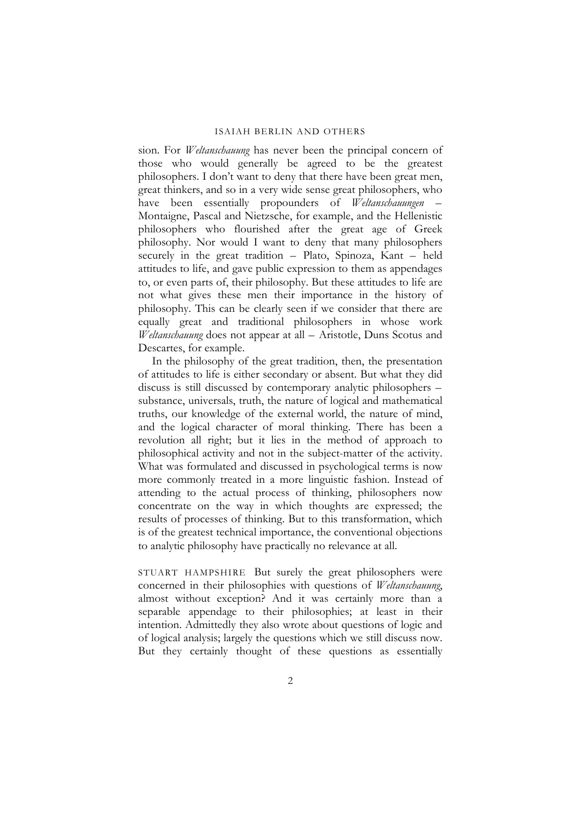sion. For *Weltanschauung* has never been the principal concern of those who would generally be agreed to be the greatest philosophers. I don't want to deny that there have been great men, great thinkers, and so in a very wide sense great philosophers, who have been essentially propounders of *Weltanschauungen* – Montaigne, Pascal and Nietzsche, for example, and the Hellenistic philosophers who flourished after the great age of Greek philosophy. Nor would I want to deny that many philosophers securely in the great tradition – Plato, Spinoza, Kant – held attitudes to life, and gave public expression to them as appendages to, or even parts of, their philosophy. But these attitudes to life are not what gives these men their importance in the history of philosophy. This can be clearly seen if we consider that there are equally great and traditional philosophers in whose work *Weltanschauung* does not appear at all – Aristotle, Duns Scotus and Descartes, for example.

In the philosophy of the great tradition, then, the presentation of attitudes to life is either secondary or absent. But what they did discuss is still discussed by contemporary analytic philosophers – substance, universals, truth, the nature of logical and mathematical truths, our knowledge of the external world, the nature of mind, and the logical character of moral thinking. There has been a revolution all right; but it lies in the method of approach to philosophical activity and not in the subject-matter of the activity. What was formulated and discussed in psychological terms is now more commonly treated in a more linguistic fashion. Instead of attending to the actual process of thinking, philosophers now concentrate on the way in which thoughts are expressed; the results of processes of thinking. But to this transformation, which is of the greatest technical importance, the conventional objections to analytic philosophy have practically no relevance at all.

STUART HAMPSHIRE But surely the great philosophers were concerned in their philosophies with questions of *Weltanschauung*, almost without exception? And it was certainly more than a separable appendage to their philosophies; at least in their intention. Admittedly they also wrote about questions of logic and of logical analysis; largely the questions which we still discuss now. But they certainly thought of these questions as essentially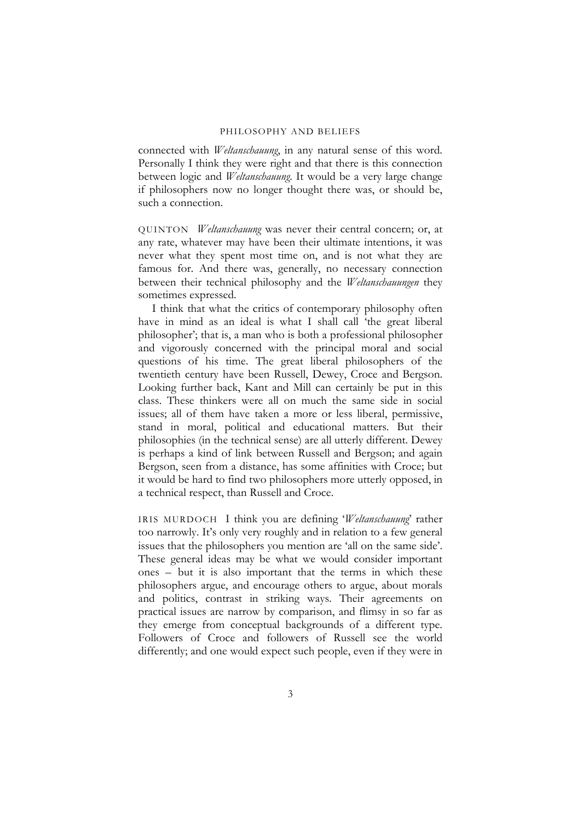connected with *Weltanschauung*, in any natural sense of this word. Personally I think they were right and that there is this connection between logic and *Weltanschauung*. It would be a very large change if philosophers now no longer thought there was, or should be, such a connection.

QUINTON *Weltanschauung* was never their central concern; or, at any rate, whatever may have been their ultimate intentions, it was never what they spent most time on, and is not what they are famous for. And there was, generally, no necessary connection between their technical philosophy and the *Weltanschauungen* they sometimes expressed.

I think that what the critics of contemporary philosophy often have in mind as an ideal is what I shall call 'the great liberal philosopher'; that is, a man who is both a professional philosopher and vigorously concerned with the principal moral and social questions of his time. The great liberal philosophers of the twentieth century have been Russell, Dewey, Croce and Bergson. Looking further back, Kant and Mill can certainly be put in this class. These thinkers were all on much the same side in social issues; all of them have taken a more or less liberal, permissive, stand in moral, political and educational matters. But their philosophies (in the technical sense) are all utterly different. Dewey is perhaps a kind of link between Russell and Bergson; and again Bergson, seen from a distance, has some affinities with Croce; but it would be hard to find two philosophers more utterly opposed, in a technical respect, than Russell and Croce.

IRIS MURDOCH I think you are defining '*Weltanschauung*' rather too narrowly. It's only very roughly and in relation to a few general issues that the philosophers you mention are 'all on the same side'. These general ideas may be what we would consider important ones – but it is also important that the terms in which these philosophers argue, and encourage others to argue, about morals and politics, contrast in striking ways. Their agreements on practical issues are narrow by comparison, and flimsy in so far as they emerge from conceptual backgrounds of a different type. Followers of Croce and followers of Russell see the world differently; and one would expect such people, even if they were in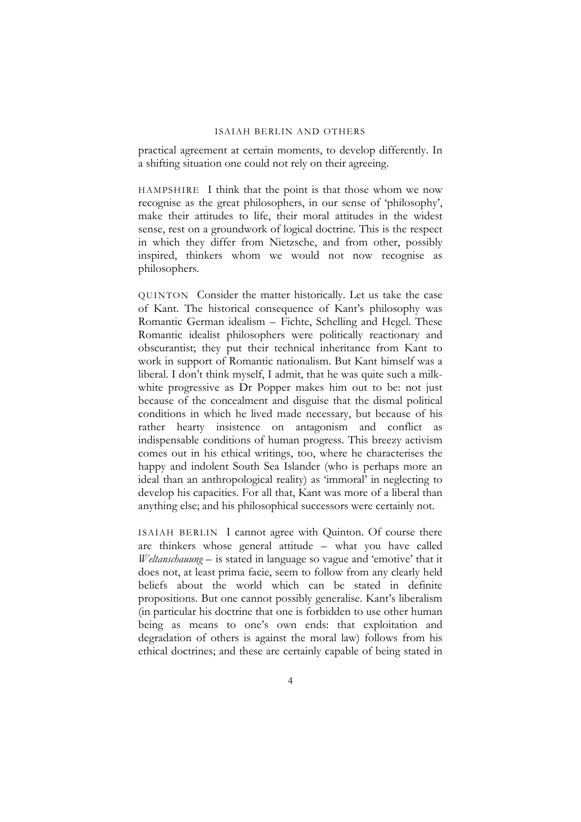practical agreement at certain moments, to develop differently. In a shifting situation one could not rely on their agreeing.

HAMPSHIRE I think that the point is that those whom we now recognise as the great philosophers, in our sense of 'philosophy', make their attitudes to life, their moral attitudes in the widest sense, rest on a groundwork of logical doctrine. This is the respect in which they differ from Nietzsche, and from other, possibly inspired, thinkers whom we would not now recognise as philosophers.

QUINTON Consider the matter historically. Let us take the case of Kant. The historical consequence of Kant's philosophy was Romantic German idealism – Fichte, Schelling and Hegel. These Romantic idealist philosophers were politically reactionary and obscurantist; they put their technical inheritance from Kant to work in support of Romantic nationalism. But Kant himself was a liberal. I don't think myself, I admit, that he was quite such a milkwhite progressive as Dr Popper makes him out to be: not just because of the concealment and disguise that the dismal political conditions in which he lived made necessary, but because of his rather hearty insistence on antagonism and conflict as indispensable conditions of human progress. This breezy activism comes out in his ethical writings, too, where he characterises the happy and indolent South Sea Islander (who is perhaps more an ideal than an anthropological reality) as 'immoral' in neglecting to develop his capacities. For all that, Kant was more of a liberal than anything else; and his philosophical successors were certainly not.

ISAIAH BERLIN I cannot agree with Quinton. Of course there are thinkers whose general attitude – what you have called *Weltanschauung* – is stated in language so vague and 'emotive' that it does not, at least prima facie, seem to follow from any clearly held beliefs about the world which can be stated in definite propositions. But one cannot possibly generalise. Kant's liberalism (in particular his doctrine that one is forbidden to use other human being as means to one's own ends: that exploitation and degradation of others is against the moral law) follows from his ethical doctrines; and these are certainly capable of being stated in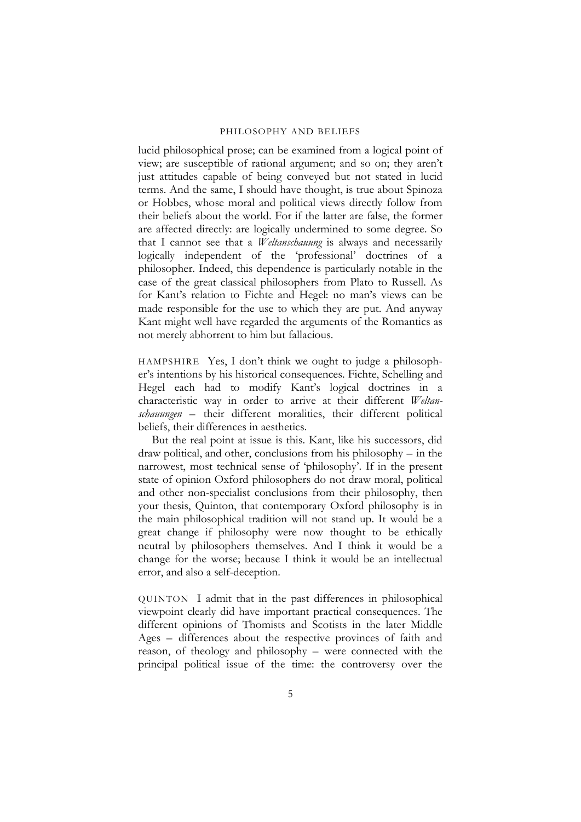lucid philosophical prose; can be examined from a logical point of view; are susceptible of rational argument; and so on; they aren't just attitudes capable of being conveyed but not stated in lucid terms. And the same, I should have thought, is true about Spinoza or Hobbes, whose moral and political views directly follow from their beliefs about the world. For if the latter are false, the former are affected directly: are logically undermined to some degree. So that I cannot see that a *Weltanschauung* is always and necessarily logically independent of the 'professional' doctrines of a philosopher. Indeed, this dependence is particularly notable in the case of the great classical philosophers from Plato to Russell. As for Kant's relation to Fichte and Hegel: no man's views can be made responsible for the use to which they are put. And anyway Kant might well have regarded the arguments of the Romantics as not merely abhorrent to him but fallacious.

HAMPSHIRE Yes, I don't think we ought to judge a philosopher's intentions by his historical consequences. Fichte, Schelling and Hegel each had to modify Kant's logical doctrines in a characteristic way in order to arrive at their different *Weltanschauungen* – their different moralities, their different political beliefs, their differences in aesthetics.

But the real point at issue is this. Kant, like his successors, did draw political, and other, conclusions from his philosophy – in the narrowest, most technical sense of 'philosophy'. If in the present state of opinion Oxford philosophers do not draw moral, political and other non-specialist conclusions from their philosophy, then your thesis, Quinton, that contemporary Oxford philosophy is in the main philosophical tradition will not stand up. It would be a great change if philosophy were now thought to be ethically neutral by philosophers themselves. And I think it would be a change for the worse; because I think it would be an intellectual error, and also a self-deception.

QUINTON I admit that in the past differences in philosophical viewpoint clearly did have important practical consequences. The different opinions of Thomists and Scotists in the later Middle Ages – differences about the respective provinces of faith and reason, of theology and philosophy – were connected with the principal political issue of the time: the controversy over the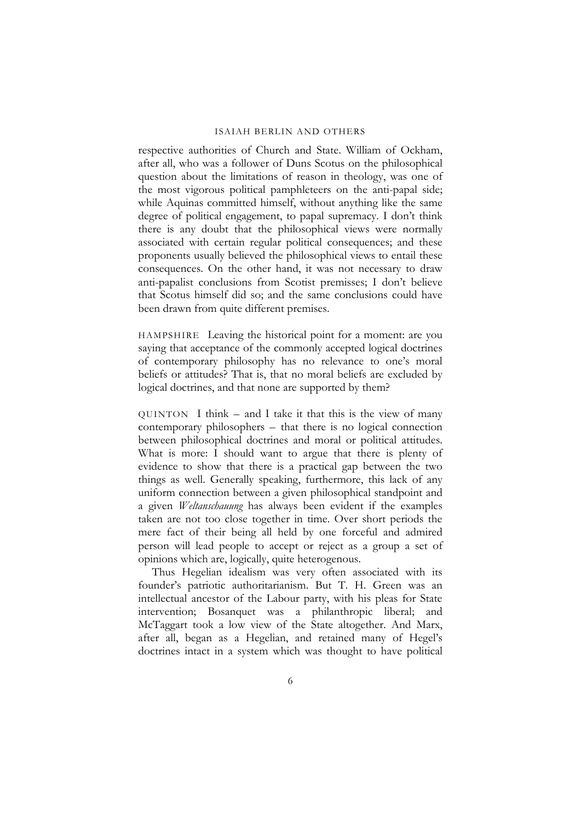respective authorities of Church and State. William of Ockham, after all, who was a follower of Duns Scotus on the philosophical question about the limitations of reason in theology, was one of the most vigorous political pamphleteers on the anti-papal side; while Aquinas committed himself, without anything like the same degree of political engagement, to papal supremacy. I don't think there is any doubt that the philosophical views were normally associated with certain regular political consequences; and these proponents usually believed the philosophical views to entail these consequences. On the other hand, it was not necessary to draw anti-papalist conclusions from Scotist premisses; I don't believe that Scotus himself did so; and the same conclusions could have been drawn from quite different premises.

HAMPSHIRE Leaving the historical point for a moment: are you saying that acceptance of the commonly accepted logical doctrines of contemporary philosophy has no relevance to one's moral beliefs or attitudes? That is, that no moral beliefs are excluded by logical doctrines, and that none are supported by them?

 $\text{O}\text{U}\text{INTON}$  I think – and I take it that this is the view of many contemporary philosophers – that there is no logical connection between philosophical doctrines and moral or political attitudes. What is more: I should want to argue that there is plenty of evidence to show that there is a practical gap between the two things as well. Generally speaking, furthermore, this lack of any uniform connection between a given philosophical standpoint and a given *Weltanschauung* has always been evident if the examples taken are not too close together in time. Over short periods the mere fact of their being all held by one forceful and admired person will lead people to accept or reject as a group a set of opinions which are, logically, quite heterogenous.

Thus Hegelian idealism was very often associated with its founder's patriotic authoritarianism. But T. H. Green was an intellectual ancestor of the Labour party, with his pleas for State intervention; Bosanquet was a philanthropic liberal; and McTaggart took a low view of the State altogether. And Marx, after all, began as a Hegelian, and retained many of Hegel's doctrines intact in a system which was thought to have political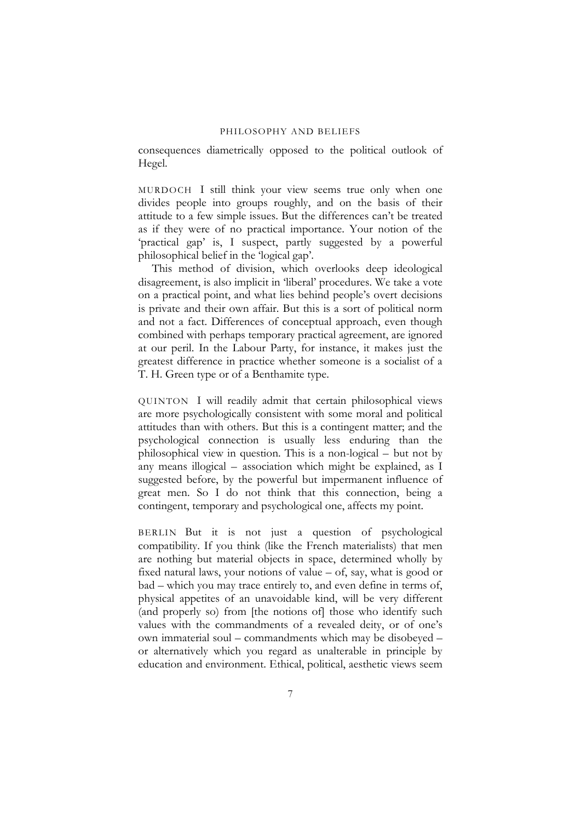consequences diametrically opposed to the political outlook of Hegel.

MURDOCH I still think your view seems true only when one divides people into groups roughly, and on the basis of their attitude to a few simple issues. But the differences can't be treated as if they were of no practical importance. Your notion of the 'practical gap' is, I suspect, partly suggested by a powerful philosophical belief in the 'logical gap'.

This method of division, which overlooks deep ideological disagreement, is also implicit in 'liberal' procedures. We take a vote on a practical point, and what lies behind people's overt decisions is private and their own affair. But this is a sort of political norm and not a fact. Differences of conceptual approach, even though combined with perhaps temporary practical agreement, are ignored at our peril. In the Labour Party, for instance, it makes just the greatest difference in practice whether someone is a socialist of a T. H. Green type or of a Benthamite type.

QUINTON I will readily admit that certain philosophical views are more psychologically consistent with some moral and political attitudes than with others. But this is a contingent matter; and the psychological connection is usually less enduring than the philosophical view in question. This is a non-logical – but not by any means illogical – association which might be explained, as I suggested before, by the powerful but impermanent influence of great men. So I do not think that this connection, being a contingent, temporary and psychological one, affects my point.

BERLIN But it is not just a question of psychological compatibility. If you think (like the French materialists) that men are nothing but material objects in space, determined wholly by fixed natural laws, your notions of value – of, say, what is good or bad – which you may trace entirely to, and even define in terms of, physical appetites of an unavoidable kind, will be very different (and properly so) from [the notions of] those who identify such values with the commandments of a revealed deity, or of one's own immaterial soul – commandments which may be disobeyed – or alternatively which you regard as unalterable in principle by education and environment. Ethical, political, aesthetic views seem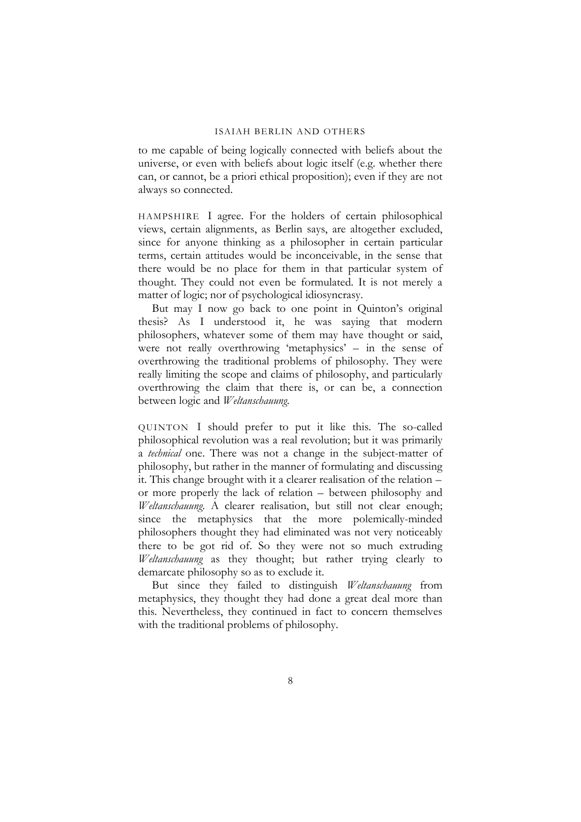to me capable of being logically connected with beliefs about the universe, or even with beliefs about logic itself (e.g. whether there can, or cannot, be a priori ethical proposition); even if they are not always so connected.

HAMPSHIRE I agree. For the holders of certain philosophical views, certain alignments, as Berlin says, are altogether excluded, since for anyone thinking as a philosopher in certain particular terms, certain attitudes would be inconceivable, in the sense that there would be no place for them in that particular system of thought. They could not even be formulated. It is not merely a matter of logic; nor of psychological idiosyncrasy.

But may I now go back to one point in Quinton's original thesis? As I understood it, he was saying that modern philosophers, whatever some of them may have thought or said, were not really overthrowing 'metaphysics' – in the sense of overthrowing the traditional problems of philosophy. They were really limiting the scope and claims of philosophy, and particularly overthrowing the claim that there is, or can be, a connection between logic and *Weltanschauung*.

QUINTON I should prefer to put it like this. The so-called philosophical revolution was a real revolution; but it was primarily a *technical* one. There was not a change in the subject-matter of philosophy, but rather in the manner of formulating and discussing it. This change brought with it a clearer realisation of the relation – or more properly the lack of relation – between philosophy and *Weltanschauung*. A clearer realisation, but still not clear enough; since the metaphysics that the more polemically-minded philosophers thought they had eliminated was not very noticeably there to be got rid of. So they were not so much extruding *Weltanschauung* as they thought; but rather trying clearly to demarcate philosophy so as to exclude it.

But since they failed to distinguish *Weltanschauung* from metaphysics, they thought they had done a great deal more than this. Nevertheless, they continued in fact to concern themselves with the traditional problems of philosophy.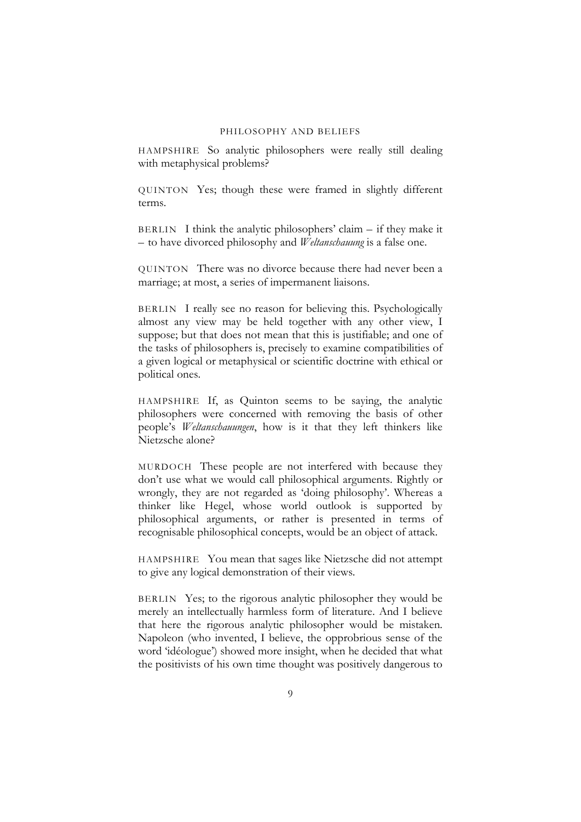HAMPSHIRE So analytic philosophers were really still dealing with metaphysical problems?

QUINTON Yes; though these were framed in slightly different terms.

BERLIN I think the analytic philosophers' claim  $-$  if they make it – to have divorced philosophy and *Weltanschauung* is a false one.

QUINTON There was no divorce because there had never been a marriage; at most, a series of impermanent liaisons.

BERLIN I really see no reason for believing this. Psychologically almost any view may be held together with any other view, I suppose; but that does not mean that this is justifiable; and one of the tasks of philosophers is, precisely to examine compatibilities of a given logical or metaphysical or scientific doctrine with ethical or political ones.

HAMPSHIRE If, as Quinton seems to be saying, the analytic philosophers were concerned with removing the basis of other people's *Weltanschauungen*, how is it that they left thinkers like Nietzsche alone?

MURDOCH These people are not interfered with because they don't use what we would call philosophical arguments. Rightly or wrongly, they are not regarded as 'doing philosophy'. Whereas a thinker like Hegel, whose world outlook is supported by philosophical arguments, or rather is presented in terms of recognisable philosophical concepts, would be an object of attack.

HAMPSHIRE You mean that sages like Nietzsche did not attempt to give any logical demonstration of their views.

BERLIN Yes; to the rigorous analytic philosopher they would be merely an intellectually harmless form of literature. And I believe that here the rigorous analytic philosopher would be mistaken. Napoleon (who invented, I believe, the opprobrious sense of the word 'idéologue') showed more insight, when he decided that what the positivists of his own time thought was positively dangerous to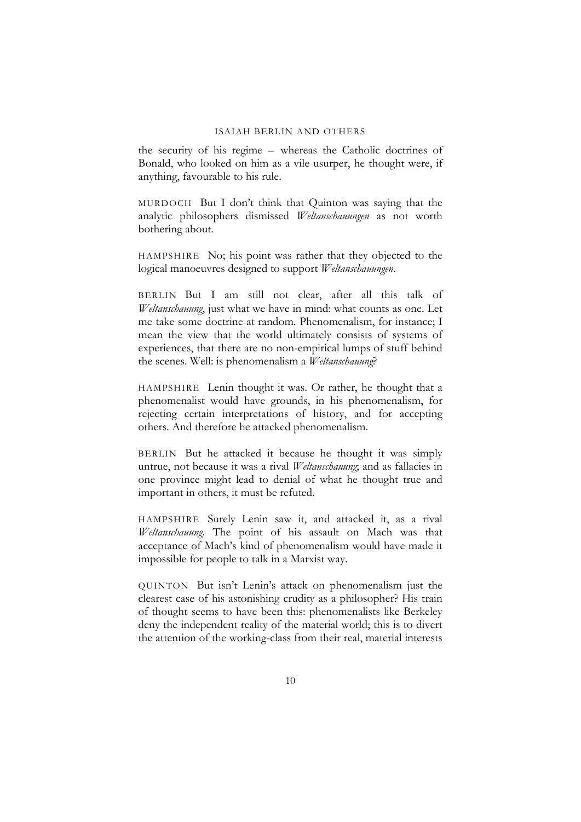the security of his regime – whereas the Catholic doctrines of Bonald, who looked on him as a vile usurper, he thought were, if anything, favourable to his rule.

MURDOCH But I don't think that Quinton was saying that the analytic philosophers dismissed *Weltanschauungen* as not worth bothering about.

HAMPSHIRE No; his point was rather that they objected to the logical manoeuvres designed to support *Weltanschauungen*.

BERLIN But I am still not clear, after all this talk of *Weltanschauung*, just what we have in mind: what counts as one. Let me take some doctrine at random. Phenomenalism, for instance; I mean the view that the world ultimately consists of systems of experiences, that there are no non-empirical lumps of stuff behind the scenes. Well: is phenomenalism a *Weltanschauung*?

HAMPSHIRE Lenin thought it was. Or rather, he thought that a phenomenalist would have grounds, in his phenomenalism, for rejecting certain interpretations of history, and for accepting others. And therefore he attacked phenomenalism.

BERLIN But he attacked it because he thought it was simply untrue, not because it was a rival *Weltanschauung*; and as fallacies in one province might lead to denial of what he thought true and important in others, it must be refuted.

HAMPSHIRE Surely Lenin saw it, and attacked it, as a rival *Weltanschauung*. The point of his assault on Mach was that acceptance of Mach's kind of phenomenalism would have made it impossible for people to talk in a Marxist way.

QUINTON But isn't Lenin's attack on phenomenalism just the clearest case of his astonishing crudity as a philosopher? His train of thought seems to have been this: phenomenalists like Berkeley deny the independent reality of the material world; this is to divert the attention of the working-class from their real, material interests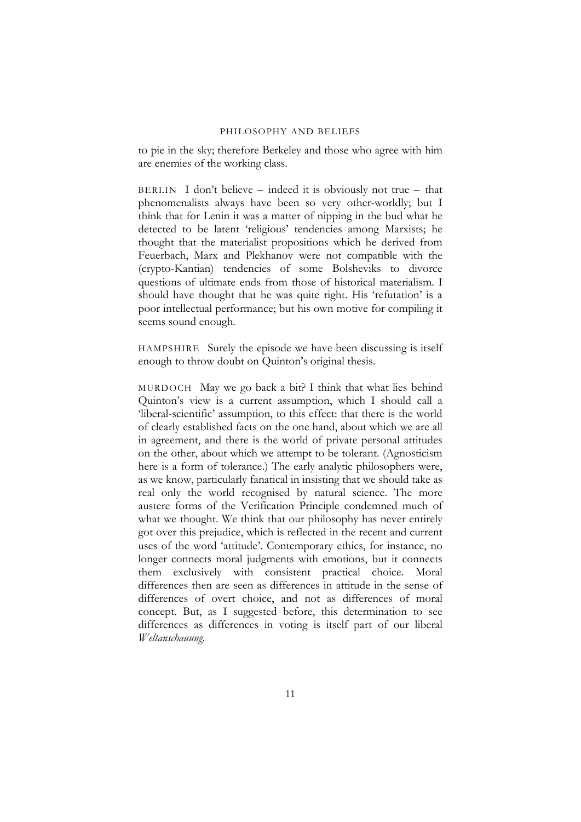to pie in the sky; therefore Berkeley and those who agree with him are enemies of the working class.

BERLIN I don't believe – indeed it is obviously not true – that phenomenalists always have been so very other-worldly; but I think that for Lenin it was a matter of nipping in the bud what he detected to be latent 'religious' tendencies among Marxists; he thought that the materialist propositions which he derived from Feuerbach, Marx and Plekhanov were not compatible with the (crypto-Kantian) tendencies of some Bolsheviks to divorce questions of ultimate ends from those of historical materialism. I should have thought that he was quite right. His 'refutation' is a poor intellectual performance; but his own motive for compiling it seems sound enough.

HAMPSHIRE Surely the episode we have been discussing is itself enough to throw doubt on Quinton's original thesis.

MURDOCH May we go back a bit? I think that what lies behind Quinton's view is a current assumption, which I should call a 'liberal-scientific' assumption, to this effect: that there is the world of clearly established facts on the one hand, about which we are all in agreement, and there is the world of private personal attitudes on the other, about which we attempt to be tolerant. (Agnosticism here is a form of tolerance.) The early analytic philosophers were, as we know, particularly fanatical in insisting that we should take as real only the world recognised by natural science. The more austere forms of the Verification Principle condemned much of what we thought. We think that our philosophy has never entirely got over this prejudice, which is reflected in the recent and current uses of the word 'attitude'. Contemporary ethics, for instance, no longer connects moral judgments with emotions, but it connects them exclusively with consistent practical choice. Moral differences then are seen as differences in attitude in the sense of differences of overt choice, and not as differences of moral concept. But, as I suggested before, this determination to see differences as differences in voting is itself part of our liberal *Weltanschauung*.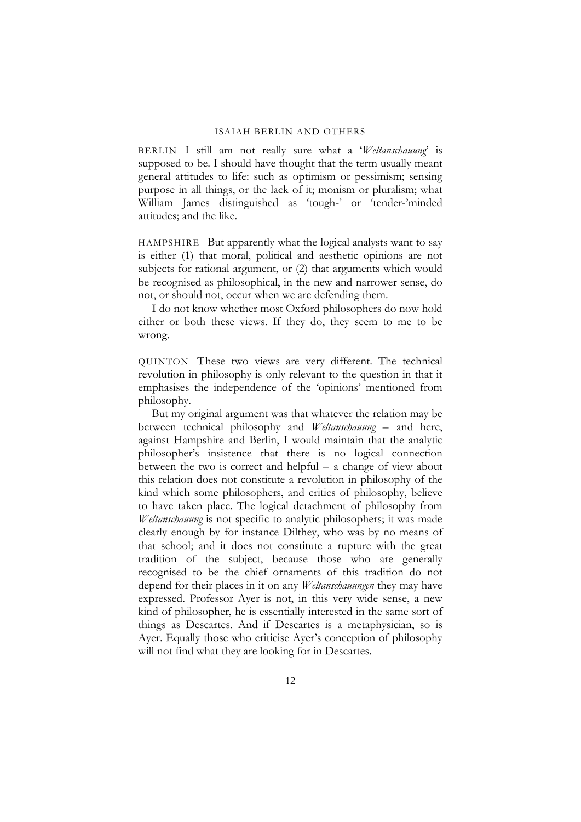BERLIN I still am not really sure what a '*Weltanschauung*' is supposed to be. I should have thought that the term usually meant general attitudes to life: such as optimism or pessimism; sensing purpose in all things, or the lack of it; monism or pluralism; what William James distinguished as 'tough-' or 'tender-'minded attitudes; and the like.

HAMPSHIRE But apparently what the logical analysts want to say is either (1) that moral, political and aesthetic opinions are not subjects for rational argument, or (2) that arguments which would be recognised as philosophical, in the new and narrower sense, do not, or should not, occur when we are defending them.

I do not know whether most Oxford philosophers do now hold either or both these views. If they do, they seem to me to be wrong.

QUINTON These two views are very different. The technical revolution in philosophy is only relevant to the question in that it emphasises the independence of the 'opinions' mentioned from philosophy.

But my original argument was that whatever the relation may be between technical philosophy and *Weltanschauung* – and here, against Hampshire and Berlin, I would maintain that the analytic philosopher's insistence that there is no logical connection between the two is correct and helpful – a change of view about this relation does not constitute a revolution in philosophy of the kind which some philosophers, and critics of philosophy, believe to have taken place. The logical detachment of philosophy from *Weltanschauung* is not specific to analytic philosophers; it was made clearly enough by for instance Dilthey, who was by no means of that school; and it does not constitute a rupture with the great tradition of the subject, because those who are generally recognised to be the chief ornaments of this tradition do not depend for their places in it on any *Weltanschauungen* they may have expressed. Professor Ayer is not, in this very wide sense, a new kind of philosopher, he is essentially interested in the same sort of things as Descartes. And if Descartes is a metaphysician, so is Ayer. Equally those who criticise Ayer's conception of philosophy will not find what they are looking for in Descartes.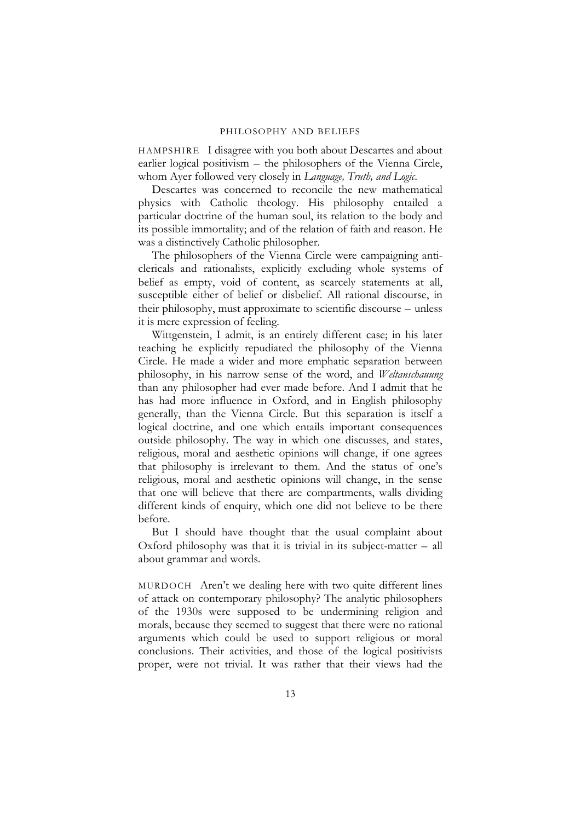HAMPSHIRE I disagree with you both about Descartes and about earlier logical positivism – the philosophers of the Vienna Circle, whom Ayer followed very closely in *Language, Truth, and Logic*.

Descartes was concerned to reconcile the new mathematical physics with Catholic theology. His philosophy entailed a particular doctrine of the human soul, its relation to the body and its possible immortality; and of the relation of faith and reason. He was a distinctively Catholic philosopher.

The philosophers of the Vienna Circle were campaigning anticlericals and rationalists, explicitly excluding whole systems of belief as empty, void of content, as scarcely statements at all, susceptible either of belief or disbelief. All rational discourse, in their philosophy, must approximate to scientific discourse – unless it is mere expression of feeling.

Wittgenstein, I admit, is an entirely different case; in his later teaching he explicitly repudiated the philosophy of the Vienna Circle. He made a wider and more emphatic separation between philosophy, in his narrow sense of the word, and *Weltanschauung* than any philosopher had ever made before. And I admit that he has had more influence in Oxford, and in English philosophy generally, than the Vienna Circle. But this separation is itself a logical doctrine, and one which entails important consequences outside philosophy. The way in which one discusses, and states, religious, moral and aesthetic opinions will change, if one agrees that philosophy is irrelevant to them. And the status of one's religious, moral and aesthetic opinions will change, in the sense that one will believe that there are compartments, walls dividing different kinds of enquiry, which one did not believe to be there before.

But I should have thought that the usual complaint about Oxford philosophy was that it is trivial in its subject-matter – all about grammar and words.

MURDOCH Aren't we dealing here with two quite different lines of attack on contemporary philosophy? The analytic philosophers of the 1930s were supposed to be undermining religion and morals, because they seemed to suggest that there were no rational arguments which could be used to support religious or moral conclusions. Their activities, and those of the logical positivists proper, were not trivial. It was rather that their views had the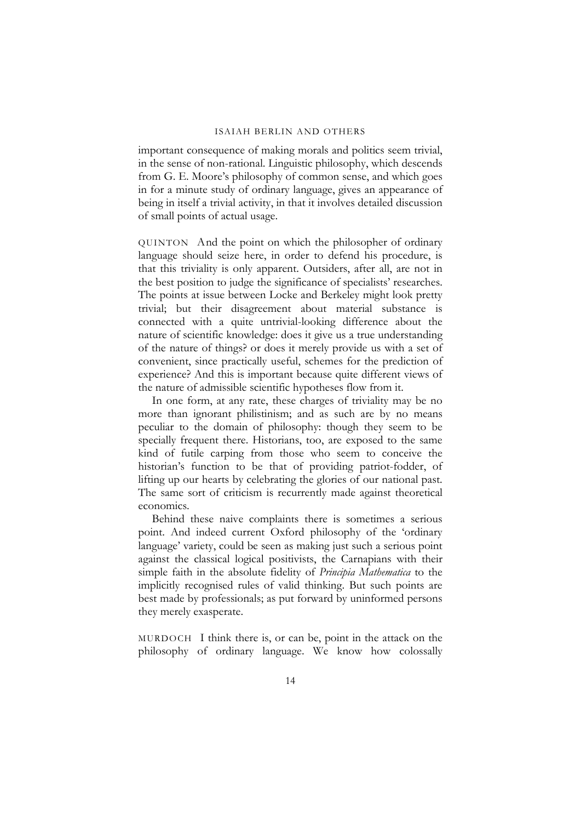important consequence of making morals and politics seem trivial, in the sense of non-rational. Linguistic philosophy, which descends from G. E. Moore's philosophy of common sense, and which goes in for a minute study of ordinary language, gives an appearance of being in itself a trivial activity, in that it involves detailed discussion of small points of actual usage.

QUINTON And the point on which the philosopher of ordinary language should seize here, in order to defend his procedure, is that this triviality is only apparent. Outsiders, after all, are not in the best position to judge the significance of specialists' researches. The points at issue between Locke and Berkeley might look pretty trivial; but their disagreement about material substance is connected with a quite untrivial-looking difference about the nature of scientific knowledge: does it give us a true understanding of the nature of things? or does it merely provide us with a set of convenient, since practically useful, schemes for the prediction of experience? And this is important because quite different views of the nature of admissible scientific hypotheses flow from it.

In one form, at any rate, these charges of triviality may be no more than ignorant philistinism; and as such are by no means peculiar to the domain of philosophy: though they seem to be specially frequent there. Historians, too, are exposed to the same kind of futile carping from those who seem to conceive the historian's function to be that of providing patriot-fodder, of lifting up our hearts by celebrating the glories of our national past. The same sort of criticism is recurrently made against theoretical economics.

Behind these naive complaints there is sometimes a serious point. And indeed current Oxford philosophy of the 'ordinary language' variety, could be seen as making just such a serious point against the classical logical positivists, the Carnapians with their simple faith in the absolute fidelity of *Principia Mathematica* to the implicitly recognised rules of valid thinking. But such points are best made by professionals; as put forward by uninformed persons they merely exasperate.

MURDOCH I think there is, or can be, point in the attack on the philosophy of ordinary language. We know how colossally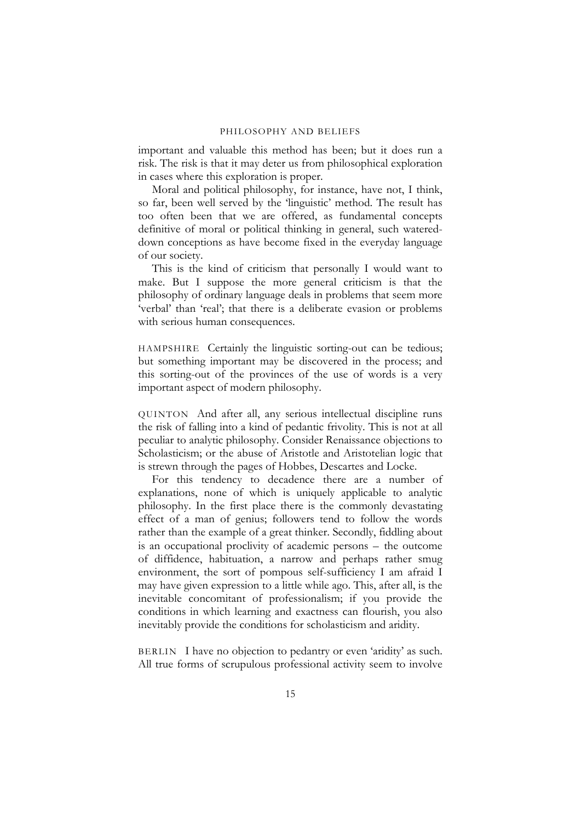important and valuable this method has been; but it does run a risk. The risk is that it may deter us from philosophical exploration in cases where this exploration is proper.

Moral and political philosophy, for instance, have not, I think, so far, been well served by the 'linguistic' method. The result has too often been that we are offered, as fundamental concepts definitive of moral or political thinking in general, such watereddown conceptions as have become fixed in the everyday language of our society.

This is the kind of criticism that personally I would want to make. But I suppose the more general criticism is that the philosophy of ordinary language deals in problems that seem more 'verbal' than 'real'; that there is a deliberate evasion or problems with serious human consequences.

HAMPSHIRE Certainly the linguistic sorting-out can be tedious; but something important may be discovered in the process; and this sorting-out of the provinces of the use of words is a very important aspect of modern philosophy.

QUINTON And after all, any serious intellectual discipline runs the risk of falling into a kind of pedantic frivolity. This is not at all peculiar to analytic philosophy. Consider Renaissance objections to Scholasticism; or the abuse of Aristotle and Aristotelian logic that is strewn through the pages of Hobbes, Descartes and Locke.

For this tendency to decadence there are a number of explanations, none of which is uniquely applicable to analytic philosophy. In the first place there is the commonly devastating effect of a man of genius; followers tend to follow the words rather than the example of a great thinker. Secondly, fiddling about is an occupational proclivity of academic persons – the outcome of diffidence, habituation, a narrow and perhaps rather smug environment, the sort of pompous self-sufficiency I am afraid I may have given expression to a little while ago. This, after all, is the inevitable concomitant of professionalism; if you provide the conditions in which learning and exactness can flourish, you also inevitably provide the conditions for scholasticism and aridity.

BERLIN I have no objection to pedantry or even 'aridity' as such. All true forms of scrupulous professional activity seem to involve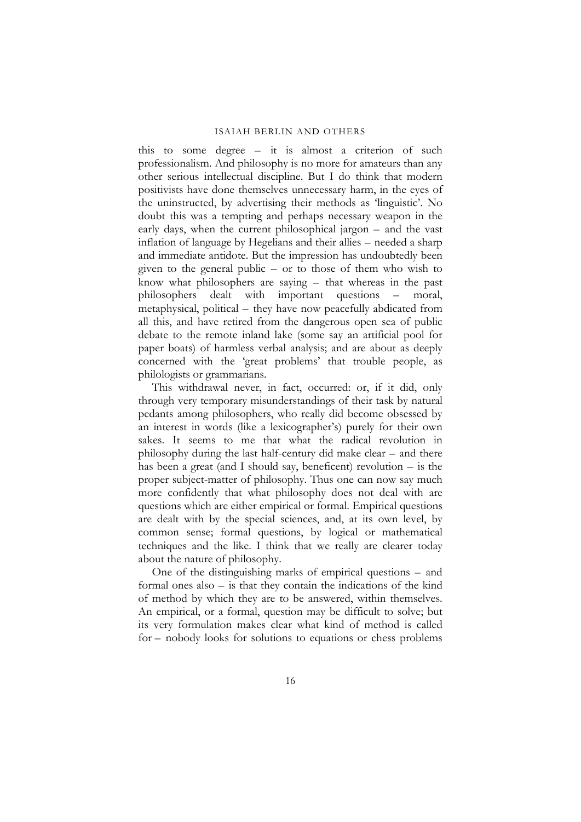this to some degree – it is almost a criterion of such professionalism. And philosophy is no more for amateurs than any other serious intellectual discipline. But I do think that modern positivists have done themselves unnecessary harm, in the eyes of the uninstructed, by advertising their methods as 'linguistic'. No doubt this was a tempting and perhaps necessary weapon in the early days, when the current philosophical jargon – and the vast inflation of language by Hegelians and their allies – needed a sharp and immediate antidote. But the impression has undoubtedly been given to the general public – or to those of them who wish to know what philosophers are saying – that whereas in the past philosophers dealt with important questions – moral, metaphysical, political – they have now peacefully abdicated from all this, and have retired from the dangerous open sea of public debate to the remote inland lake (some say an artificial pool for paper boats) of harmless verbal analysis; and are about as deeply concerned with the 'great problems' that trouble people, as philologists or grammarians.

This withdrawal never, in fact, occurred: or, if it did, only through very temporary misunderstandings of their task by natural pedants among philosophers, who really did become obsessed by an interest in words (like a lexicographer's) purely for their own sakes. It seems to me that what the radical revolution in philosophy during the last half-century did make clear – and there has been a great (and I should say, beneficent) revolution – is the proper subject-matter of philosophy. Thus one can now say much more confidently that what philosophy does not deal with are questions which are either empirical or formal. Empirical questions are dealt with by the special sciences, and, at its own level, by common sense; formal questions, by logical or mathematical techniques and the like. I think that we really are clearer today about the nature of philosophy.

One of the distinguishing marks of empirical questions – and formal ones also – is that they contain the indications of the kind of method by which they are to be answered, within themselves. An empirical, or a formal, question may be difficult to solve; but its very formulation makes clear what kind of method is called for – nobody looks for solutions to equations or chess problems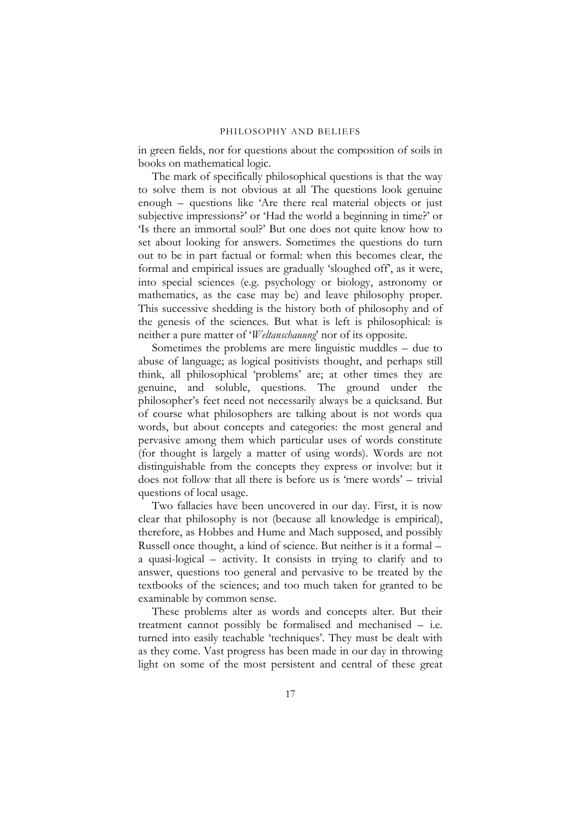in green fields, nor for questions about the composition of soils in books on mathematical logic.

The mark of specifically philosophical questions is that the way to solve them is not obvious at all The questions look genuine enough – questions like 'Are there real material objects or just subjective impressions?' or 'Had the world a beginning in time?' or 'Is there an immortal soul?' But one does not quite know how to set about looking for answers. Sometimes the questions do turn out to be in part factual or formal: when this becomes clear, the formal and empirical issues are gradually 'sloughed off', as it were, into special sciences (e.g. psychology or biology, astronomy or mathematics, as the case may be) and leave philosophy proper. This successive shedding is the history both of philosophy and of the genesis of the sciences. But what is left is philosophical: is neither a pure matter of '*Weltanschauung*' nor of its opposite.

Sometimes the problems are mere linguistic muddles – due to abuse of language; as logical positivists thought, and perhaps still think, all philosophical 'problems' are; at other times they are genuine, and soluble, questions. The ground under the philosopher's feet need not necessarily always be a quicksand. But of course what philosophers are talking about is not words qua words, but about concepts and categories: the most general and pervasive among them which particular uses of words constitute (for thought is largely a matter of using words). Words are not distinguishable from the concepts they express or involve: but it does not follow that all there is before us is 'mere words' – trivial questions of local usage.

Two fallacies have been uncovered in our day. First, it is now clear that philosophy is not (because all knowledge is empirical), therefore, as Hobbes and Hume and Mach supposed, and possibly Russell once thought, a kind of science. But neither is it a formal – a quasi-logical – activity. It consists in trying to clarify and to answer, questions too general and pervasive to be treated by the textbooks of the sciences; and too much taken for granted to be examinable by common sense.

These problems alter as words and concepts alter. But their treatment cannot possibly be formalised and mechanised – i.e. turned into easily teachable 'techniques'. They must be dealt with as they come. Vast progress has been made in our day in throwing light on some of the most persistent and central of these great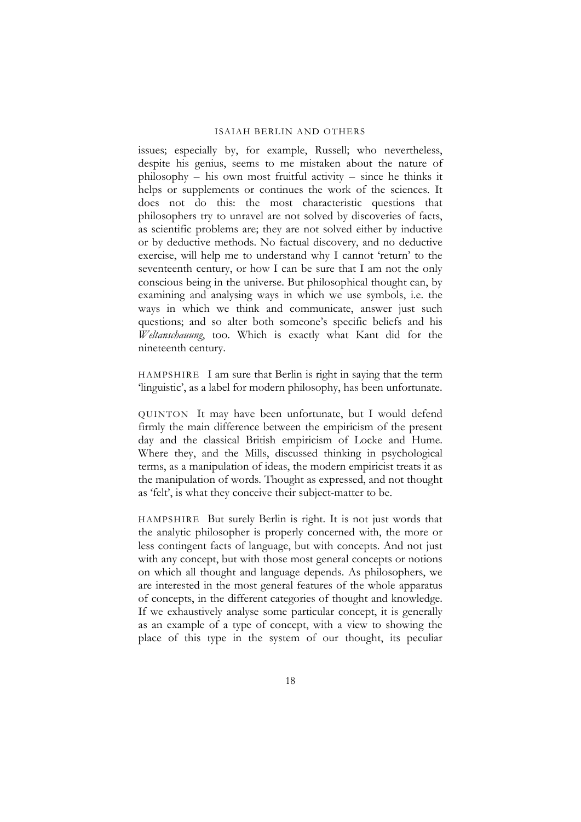issues; especially by, for example, Russell; who nevertheless, despite his genius, seems to me mistaken about the nature of philosophy – his own most fruitful activity – since he thinks it helps or supplements or continues the work of the sciences. It does not do this: the most characteristic questions that philosophers try to unravel are not solved by discoveries of facts, as scientific problems are; they are not solved either by inductive or by deductive methods. No factual discovery, and no deductive exercise, will help me to understand why I cannot 'return' to the seventeenth century, or how I can be sure that I am not the only conscious being in the universe. But philosophical thought can, by examining and analysing ways in which we use symbols, i.e. the ways in which we think and communicate, answer just such questions; and so alter both someone's specific beliefs and his *Weltanschauung*, too. Which is exactly what Kant did for the nineteenth century.

HAMPSHIRE I am sure that Berlin is right in saying that the term 'linguistic', as a label for modern philosophy, has been unfortunate.

QUINTON It may have been unfortunate, but I would defend firmly the main difference between the empiricism of the present day and the classical British empiricism of Locke and Hume. Where they, and the Mills, discussed thinking in psychological terms, as a manipulation of ideas, the modern empiricist treats it as the manipulation of words. Thought as expressed, and not thought as 'felt', is what they conceive their subject-matter to be.

HAMPSHIRE But surely Berlin is right. It is not just words that the analytic philosopher is properly concerned with, the more or less contingent facts of language, but with concepts. And not just with any concept, but with those most general concepts or notions on which all thought and language depends. As philosophers, we are interested in the most general features of the whole apparatus of concepts, in the different categories of thought and knowledge. If we exhaustively analyse some particular concept, it is generally as an example of a type of concept, with a view to showing the place of this type in the system of our thought, its peculiar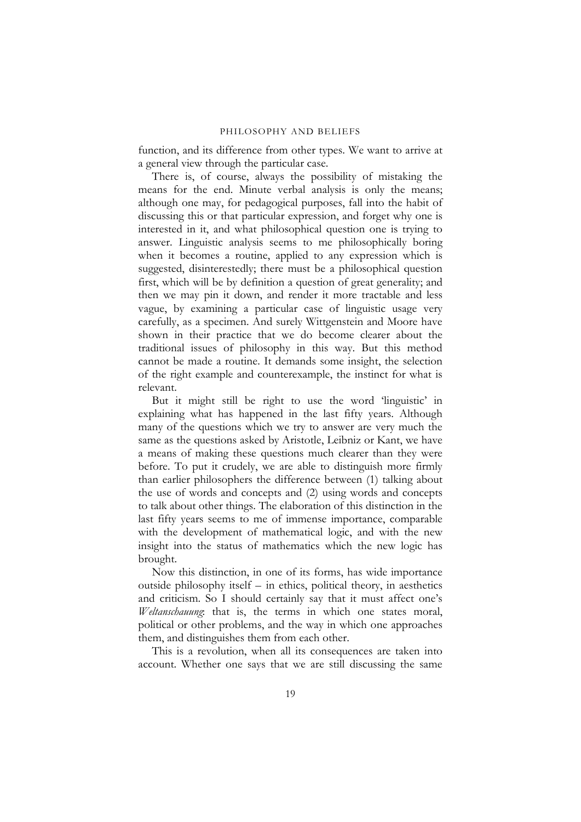function, and its difference from other types. We want to arrive at a general view through the particular case.

There is, of course, always the possibility of mistaking the means for the end. Minute verbal analysis is only the means; although one may, for pedagogical purposes, fall into the habit of discussing this or that particular expression, and forget why one is interested in it, and what philosophical question one is trying to answer. Linguistic analysis seems to me philosophically boring when it becomes a routine, applied to any expression which is suggested, disinterestedly; there must be a philosophical question first, which will be by definition a question of great generality; and then we may pin it down, and render it more tractable and less vague, by examining a particular case of linguistic usage very carefully, as a specimen. And surely Wittgenstein and Moore have shown in their practice that we do become clearer about the traditional issues of philosophy in this way. But this method cannot be made a routine. It demands some insight, the selection of the right example and counterexample, the instinct for what is relevant.

But it might still be right to use the word 'linguistic' in explaining what has happened in the last fifty years. Although many of the questions which we try to answer are very much the same as the questions asked by Aristotle, Leibniz or Kant, we have a means of making these questions much clearer than they were before. To put it crudely, we are able to distinguish more firmly than earlier philosophers the difference between (1) talking about the use of words and concepts and (2) using words and concepts to talk about other things. The elaboration of this distinction in the last fifty years seems to me of immense importance, comparable with the development of mathematical logic, and with the new insight into the status of mathematics which the new logic has brought.

Now this distinction, in one of its forms, has wide importance outside philosophy itself – in ethics, political theory, in aesthetics and criticism. So I should certainly say that it must affect one's *Weltanschauung*: that is, the terms in which one states moral, political or other problems, and the way in which one approaches them, and distinguishes them from each other.

This is a revolution, when all its consequences are taken into account. Whether one says that we are still discussing the same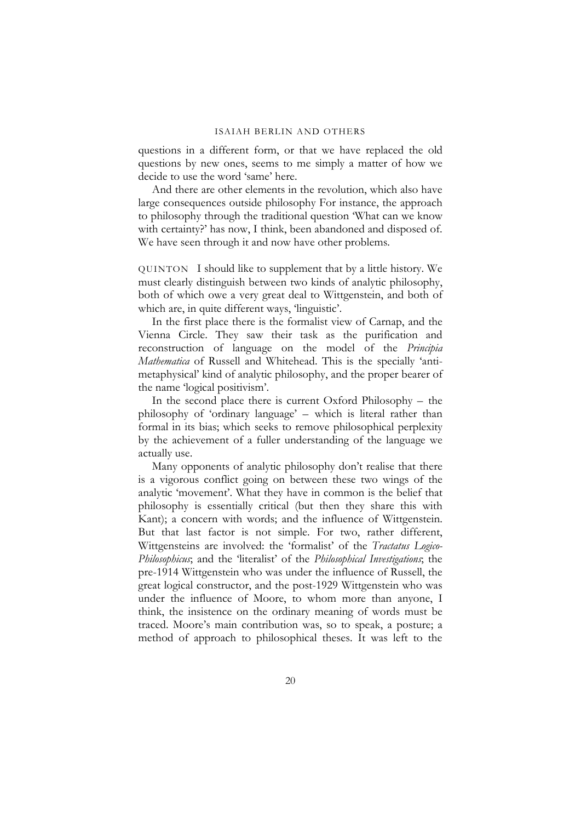questions in a different form, or that we have replaced the old questions by new ones, seems to me simply a matter of how we decide to use the word 'same' here.

And there are other elements in the revolution, which also have large consequences outside philosophy For instance, the approach to philosophy through the traditional question 'What can we know with certainty?' has now, I think, been abandoned and disposed of. We have seen through it and now have other problems.

QUINTON I should like to supplement that by a little history. We must clearly distinguish between two kinds of analytic philosophy, both of which owe a very great deal to Wittgenstein, and both of which are, in quite different ways, 'linguistic'.

In the first place there is the formalist view of Carnap, and the Vienna Circle. They saw their task as the purification and reconstruction of language on the model of the *Principia Mathematica* of Russell and Whitehead. This is the specially 'antimetaphysical' kind of analytic philosophy, and the proper bearer of the name 'logical positivism'.

In the second place there is current Oxford Philosophy – the philosophy of 'ordinary language' – which is literal rather than formal in its bias; which seeks to remove philosophical perplexity by the achievement of a fuller understanding of the language we actually use.

Many opponents of analytic philosophy don't realise that there is a vigorous conflict going on between these two wings of the analytic 'movement'. What they have in common is the belief that philosophy is essentially critical (but then they share this with Kant); a concern with words; and the influence of Wittgenstein. But that last factor is not simple. For two, rather different, Wittgensteins are involved: the 'formalist' of the *Tractatus Logico-Philosophicus*; and the 'literalist' of the *Philosophical Investigations*; the pre-1914 Wittgenstein who was under the influence of Russell, the great logical constructor, and the post-1929 Wittgenstein who was under the influence of Moore, to whom more than anyone, I think, the insistence on the ordinary meaning of words must be traced. Moore's main contribution was, so to speak, a posture; a method of approach to philosophical theses. It was left to the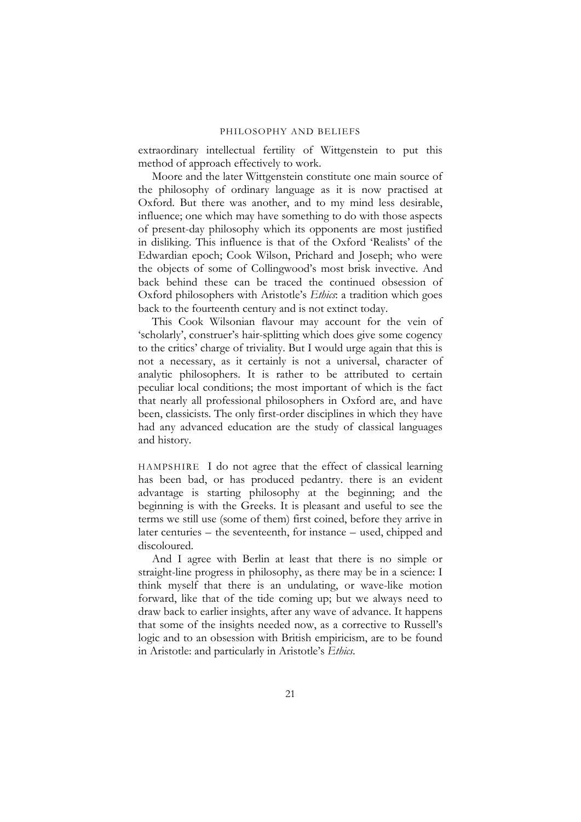extraordinary intellectual fertility of Wittgenstein to put this method of approach effectively to work.

Moore and the later Wittgenstein constitute one main source of the philosophy of ordinary language as it is now practised at Oxford. But there was another, and to my mind less desirable, influence; one which may have something to do with those aspects of present-day philosophy which its opponents are most justified in disliking. This influence is that of the Oxford 'Realists' of the Edwardian epoch; Cook Wilson, Prichard and Joseph; who were the objects of some of Collingwood's most brisk invective. And back behind these can be traced the continued obsession of Oxford philosophers with Aristotle's *Ethics*: a tradition which goes back to the fourteenth century and is not extinct today.

This Cook Wilsonian flavour may account for the vein of 'scholarly', construer's hair-splitting which does give some cogency to the critics' charge of triviality. But I would urge again that this is not a necessary, as it certainly is not a universal, character of analytic philosophers. It is rather to be attributed to certain peculiar local conditions; the most important of which is the fact that nearly all professional philosophers in Oxford are, and have been, classicists. The only first-order disciplines in which they have had any advanced education are the study of classical languages and history.

HAMPSHIRE I do not agree that the effect of classical learning has been bad, or has produced pedantry. there is an evident advantage is starting philosophy at the beginning; and the beginning is with the Greeks. It is pleasant and useful to see the terms we still use (some of them) first coined, before they arrive in later centuries – the seventeenth, for instance – used, chipped and discoloured.

And I agree with Berlin at least that there is no simple or straight-line progress in philosophy, as there may be in a science: I think myself that there is an undulating, or wave-like motion forward, like that of the tide coming up; but we always need to draw back to earlier insights, after any wave of advance. It happens that some of the insights needed now, as a corrective to Russell's logic and to an obsession with British empiricism, are to be found in Aristotle: and particularly in Aristotle's *Ethics*.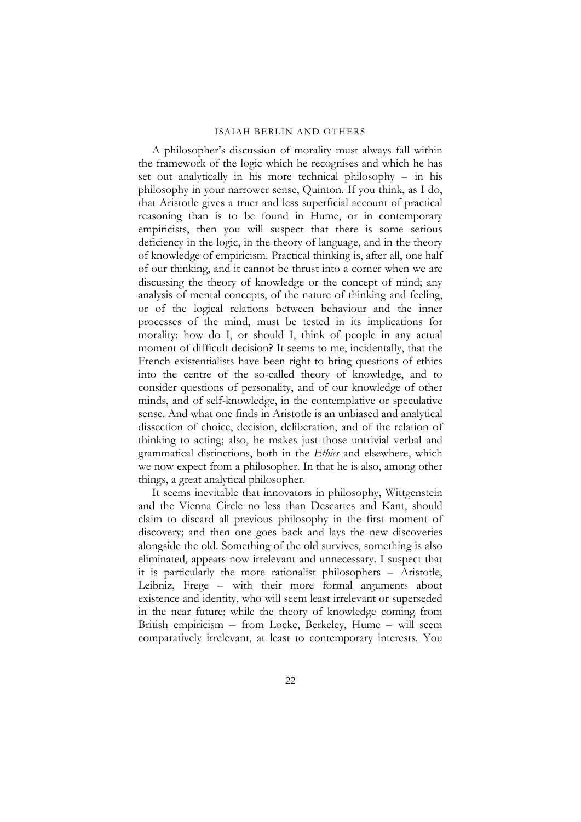A philosopher's discussion of morality must always fall within the framework of the logic which he recognises and which he has set out analytically in his more technical philosophy – in his philosophy in your narrower sense, Quinton. If you think, as I do, that Aristotle gives a truer and less superficial account of practical reasoning than is to be found in Hume, or in contemporary empiricists, then you will suspect that there is some serious deficiency in the logic, in the theory of language, and in the theory of knowledge of empiricism. Practical thinking is, after all, one half of our thinking, and it cannot be thrust into a corner when we are discussing the theory of knowledge or the concept of mind; any analysis of mental concepts, of the nature of thinking and feeling, or of the logical relations between behaviour and the inner processes of the mind, must be tested in its implications for morality: how do I, or should I, think of people in any actual moment of difficult decision? It seems to me, incidentally, that the French existentialists have been right to bring questions of ethics into the centre of the so-called theory of knowledge, and to consider questions of personality, and of our knowledge of other minds, and of self-knowledge, in the contemplative or speculative sense. And what one finds in Aristotle is an unbiased and analytical dissection of choice, decision, deliberation, and of the relation of thinking to acting; also, he makes just those untrivial verbal and grammatical distinctions, both in the *Ethics* and elsewhere, which we now expect from a philosopher. In that he is also, among other things, a great analytical philosopher.

It seems inevitable that innovators in philosophy, Wittgenstein and the Vienna Circle no less than Descartes and Kant, should claim to discard all previous philosophy in the first moment of discovery; and then one goes back and lays the new discoveries alongside the old. Something of the old survives, something is also eliminated, appears now irrelevant and unnecessary. I suspect that it is particularly the more rationalist philosophers – Aristotle, Leibniz, Frege – with their more formal arguments about existence and identity, who will seem least irrelevant or superseded in the near future; while the theory of knowledge coming from British empiricism – from Locke, Berkeley, Hume – will seem comparatively irrelevant, at least to contemporary interests. You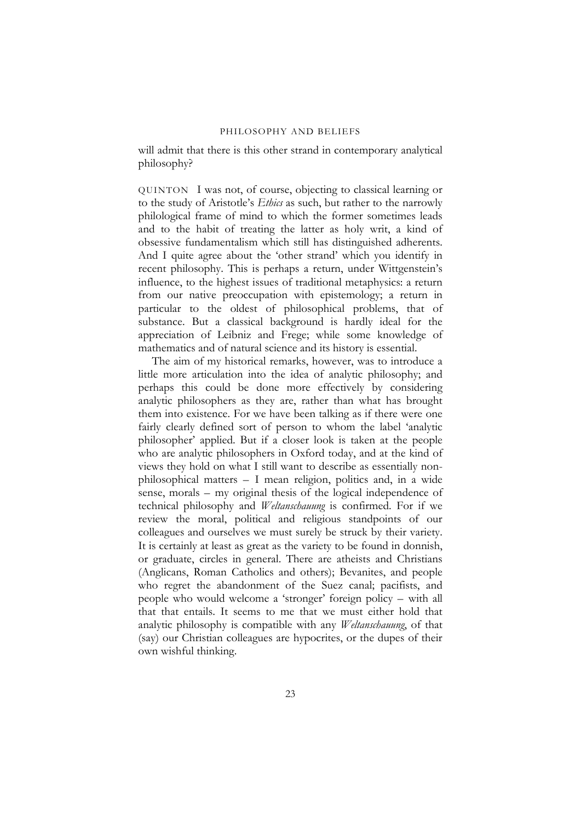will admit that there is this other strand in contemporary analytical philosophy?

QUINTON I was not, of course, objecting to classical learning or to the study of Aristotle's *Ethics* as such, but rather to the narrowly philological frame of mind to which the former sometimes leads and to the habit of treating the latter as holy writ, a kind of obsessive fundamentalism which still has distinguished adherents. And I quite agree about the 'other strand' which you identify in recent philosophy. This is perhaps a return, under Wittgenstein's influence, to the highest issues of traditional metaphysics: a return from our native preoccupation with epistemology; a return in particular to the oldest of philosophical problems, that of substance. But a classical background is hardly ideal for the appreciation of Leibniz and Frege; while some knowledge of mathematics and of natural science and its history is essential.

The aim of my historical remarks, however, was to introduce a little more articulation into the idea of analytic philosophy; and perhaps this could be done more effectively by considering analytic philosophers as they are, rather than what has brought them into existence. For we have been talking as if there were one fairly clearly defined sort of person to whom the label 'analytic philosopher' applied. But if a closer look is taken at the people who are analytic philosophers in Oxford today, and at the kind of views they hold on what I still want to describe as essentially nonphilosophical matters – I mean religion, politics and, in a wide sense, morals – my original thesis of the logical independence of technical philosophy and *Weltanschauung* is confirmed. For if we review the moral, political and religious standpoints of our colleagues and ourselves we must surely be struck by their variety. It is certainly at least as great as the variety to be found in donnish, or graduate, circles in general. There are atheists and Christians (Anglicans, Roman Catholics and others); Bevanites, and people who regret the abandonment of the Suez canal; pacifists, and people who would welcome a 'stronger' foreign policy – with all that that entails. It seems to me that we must either hold that analytic philosophy is compatible with any *Weltanschauung*, of that (say) our Christian colleagues are hypocrites, or the dupes of their own wishful thinking.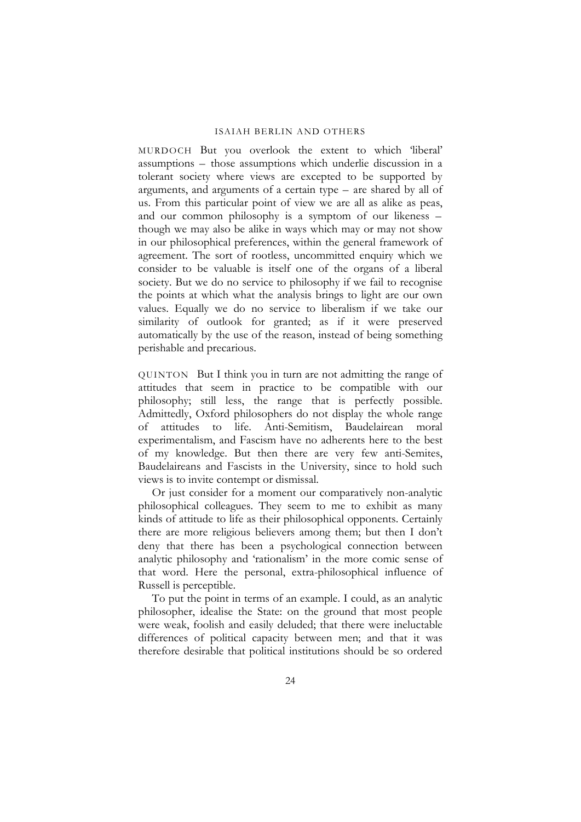MURDOCH But you overlook the extent to which 'liberal' assumptions – those assumptions which underlie discussion in a tolerant society where views are excepted to be supported by arguments, and arguments of a certain type – are shared by all of us. From this particular point of view we are all as alike as peas, and our common philosophy is a symptom of our likeness – though we may also be alike in ways which may or may not show in our philosophical preferences, within the general framework of agreement. The sort of rootless, uncommitted enquiry which we consider to be valuable is itself one of the organs of a liberal society. But we do no service to philosophy if we fail to recognise the points at which what the analysis brings to light are our own values. Equally we do no service to liberalism if we take our similarity of outlook for granted; as if it were preserved automatically by the use of the reason, instead of being something perishable and precarious.

QUINTON But I think you in turn are not admitting the range of attitudes that seem in practice to be compatible with our philosophy; still less, the range that is perfectly possible. Admittedly, Oxford philosophers do not display the whole range of attitudes to life. Anti-Semitism, Baudelairean moral experimentalism, and Fascism have no adherents here to the best of my knowledge. But then there are very few anti-Semites, Baudelaireans and Fascists in the University, since to hold such views is to invite contempt or dismissal.

Or just consider for a moment our comparatively non-analytic philosophical colleagues. They seem to me to exhibit as many kinds of attitude to life as their philosophical opponents. Certainly there are more religious believers among them; but then I don't deny that there has been a psychological connection between analytic philosophy and 'rationalism' in the more comic sense of that word. Here the personal, extra-philosophical influence of Russell is perceptible.

To put the point in terms of an example. I could, as an analytic philosopher, idealise the State: on the ground that most people were weak, foolish and easily deluded; that there were ineluctable differences of political capacity between men; and that it was therefore desirable that political institutions should be so ordered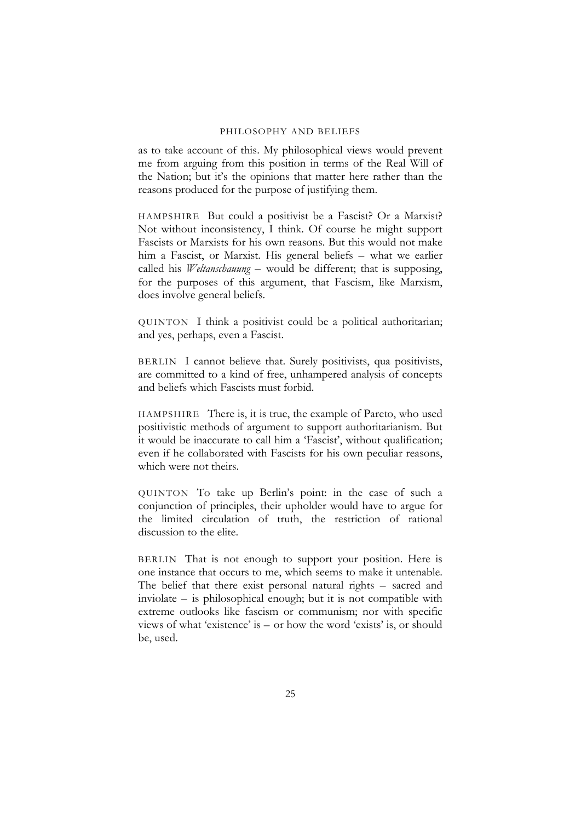as to take account of this. My philosophical views would prevent me from arguing from this position in terms of the Real Will of the Nation; but it's the opinions that matter here rather than the reasons produced for the purpose of justifying them.

HAMPSHIRE But could a positivist be a Fascist? Or a Marxist? Not without inconsistency, I think. Of course he might support Fascists or Marxists for his own reasons. But this would not make him a Fascist, or Marxist. His general beliefs – what we earlier called his *Weltanschauung* – would be different; that is supposing, for the purposes of this argument, that Fascism, like Marxism, does involve general beliefs.

QUINTON I think a positivist could be a political authoritarian; and yes, perhaps, even a Fascist.

BERLIN I cannot believe that. Surely positivists, qua positivists, are committed to a kind of free, unhampered analysis of concepts and beliefs which Fascists must forbid.

HAMPSHIRE There is, it is true, the example of Pareto, who used positivistic methods of argument to support authoritarianism. But it would be inaccurate to call him a 'Fascist', without qualification; even if he collaborated with Fascists for his own peculiar reasons, which were not theirs.

QUINTON To take up Berlin's point: in the case of such a conjunction of principles, their upholder would have to argue for the limited circulation of truth, the restriction of rational discussion to the elite.

BERLIN That is not enough to support your position. Here is one instance that occurs to me, which seems to make it untenable. The belief that there exist personal natural rights – sacred and inviolate – is philosophical enough; but it is not compatible with extreme outlooks like fascism or communism; nor with specific views of what 'existence' is – or how the word 'exists' is, or should be, used.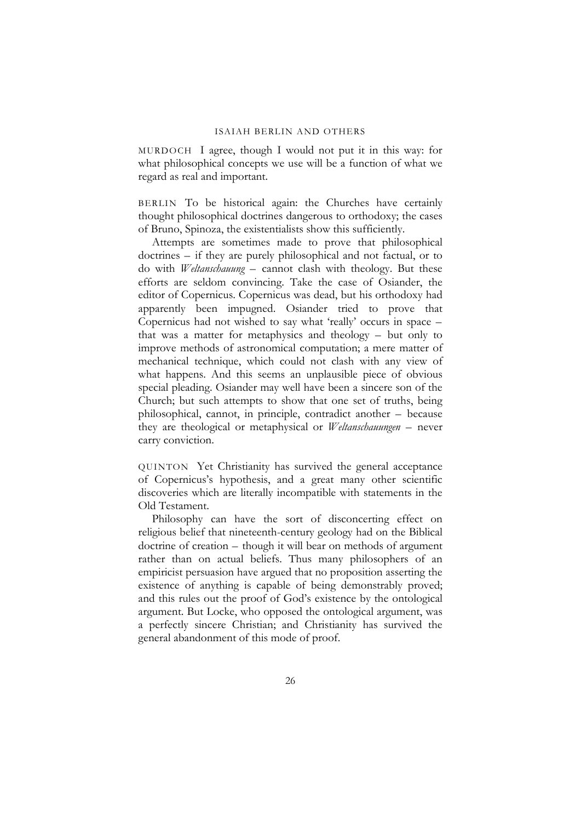MURDOCH I agree, though I would not put it in this way: for what philosophical concepts we use will be a function of what we regard as real and important.

BERLIN To be historical again: the Churches have certainly thought philosophical doctrines dangerous to orthodoxy; the cases of Bruno, Spinoza, the existentialists show this sufficiently.

Attempts are sometimes made to prove that philosophical doctrines – if they are purely philosophical and not factual, or to do with *Weltanschauung* – cannot clash with theology. But these efforts are seldom convincing. Take the case of Osiander, the editor of Copernicus. Copernicus was dead, but his orthodoxy had apparently been impugned. Osiander tried to prove that Copernicus had not wished to say what 'really' occurs in space – that was a matter for metaphysics and theology – but only to improve methods of astronomical computation; a mere matter of mechanical technique, which could not clash with any view of what happens. And this seems an unplausible piece of obvious special pleading. Osiander may well have been a sincere son of the Church; but such attempts to show that one set of truths, being philosophical, cannot, in principle, contradict another – because they are theological or metaphysical or *Weltanschauungen* – never carry conviction.

QUINTON Yet Christianity has survived the general acceptance of Copernicus's hypothesis, and a great many other scientific discoveries which are literally incompatible with statements in the Old Testament.

Philosophy can have the sort of disconcerting effect on religious belief that nineteenth-century geology had on the Biblical doctrine of creation – though it will bear on methods of argument rather than on actual beliefs. Thus many philosophers of an empiricist persuasion have argued that no proposition asserting the existence of anything is capable of being demonstrably proved; and this rules out the proof of God's existence by the ontological argument. But Locke, who opposed the ontological argument, was a perfectly sincere Christian; and Christianity has survived the general abandonment of this mode of proof.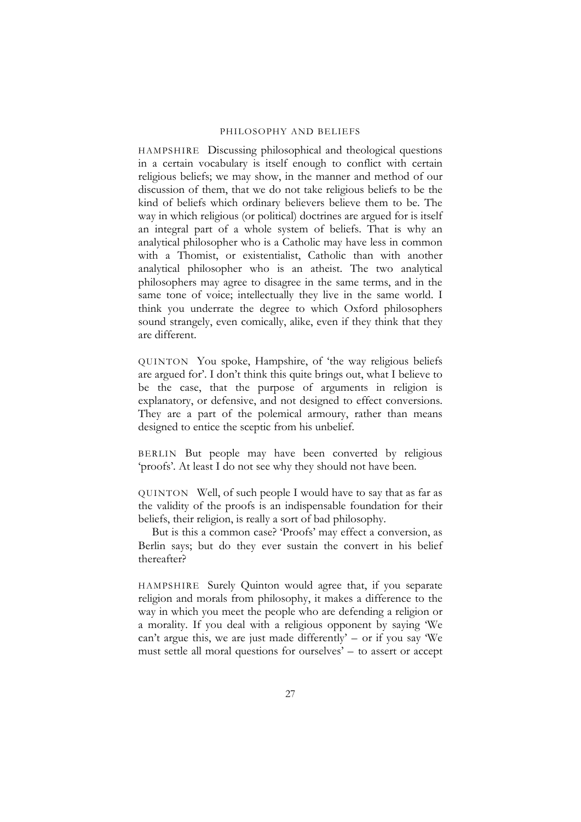HAMPSHIRE Discussing philosophical and theological questions in a certain vocabulary is itself enough to conflict with certain religious beliefs; we may show, in the manner and method of our discussion of them, that we do not take religious beliefs to be the kind of beliefs which ordinary believers believe them to be. The way in which religious (or political) doctrines are argued for is itself an integral part of a whole system of beliefs. That is why an analytical philosopher who is a Catholic may have less in common with a Thomist, or existentialist, Catholic than with another analytical philosopher who is an atheist. The two analytical philosophers may agree to disagree in the same terms, and in the same tone of voice; intellectually they live in the same world. I think you underrate the degree to which Oxford philosophers sound strangely, even comically, alike, even if they think that they are different.

QUINTON You spoke, Hampshire, of 'the way religious beliefs are argued for'. I don't think this quite brings out, what I believe to be the case, that the purpose of arguments in religion is explanatory, or defensive, and not designed to effect conversions. They are a part of the polemical armoury, rather than means designed to entice the sceptic from his unbelief.

BERLIN But people may have been converted by religious 'proofs'. At least I do not see why they should not have been.

QUINTON Well, of such people I would have to say that as far as the validity of the proofs is an indispensable foundation for their beliefs, their religion, is really a sort of bad philosophy.

But is this a common case? 'Proofs' may effect a conversion, as Berlin says; but do they ever sustain the convert in his belief thereafter?

HAMPSHIRE Surely Quinton would agree that, if you separate religion and morals from philosophy, it makes a difference to the way in which you meet the people who are defending a religion or a morality. If you deal with a religious opponent by saying 'We can't argue this, we are just made differently'  $-$  or if you say 'We must settle all moral questions for ourselves' – to assert or accept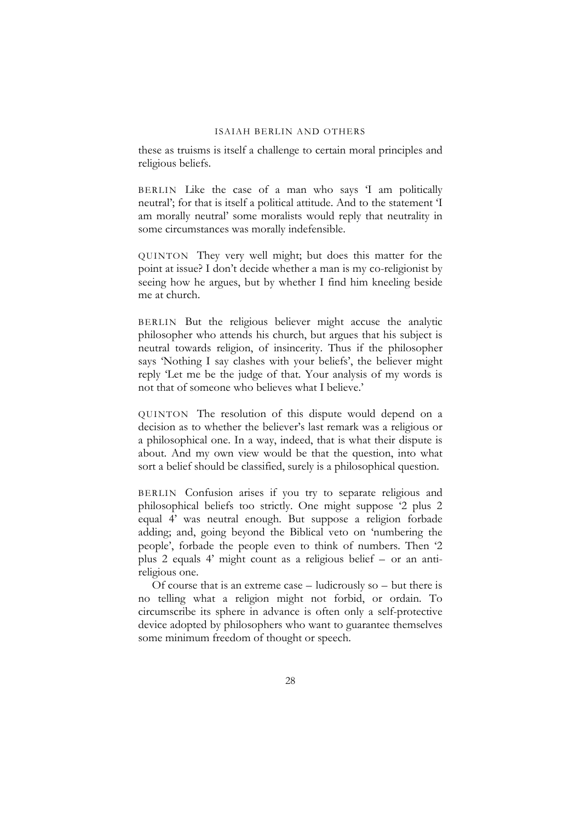these as truisms is itself a challenge to certain moral principles and religious beliefs.

BERLIN Like the case of a man who says 'I am politically neutral'; for that is itself a political attitude. And to the statement 'I am morally neutral' some moralists would reply that neutrality in some circumstances was morally indefensible.

QUINTON They very well might; but does this matter for the point at issue? I don't decide whether a man is my co-religionist by seeing how he argues, but by whether I find him kneeling beside me at church.

BERLIN But the religious believer might accuse the analytic philosopher who attends his church, but argues that his subject is neutral towards religion, of insincerity. Thus if the philosopher says 'Nothing I say clashes with your beliefs', the believer might reply 'Let me be the judge of that. Your analysis of my words is not that of someone who believes what I believe.'

QUINTON The resolution of this dispute would depend on a decision as to whether the believer's last remark was a religious or a philosophical one. In a way, indeed, that is what their dispute is about. And my own view would be that the question, into what sort a belief should be classified, surely is a philosophical question.

BERLIN Confusion arises if you try to separate religious and philosophical beliefs too strictly. One might suppose '2 plus 2 equal 4' was neutral enough. But suppose a religion forbade adding; and, going beyond the Biblical veto on 'numbering the people', forbade the people even to think of numbers. Then '2 plus 2 equals 4' might count as a religious belief – or an antireligious one.

Of course that is an extreme case – ludicrously so – but there is no telling what a religion might not forbid, or ordain. To circumscribe its sphere in advance is often only a self-protective device adopted by philosophers who want to guarantee themselves some minimum freedom of thought or speech.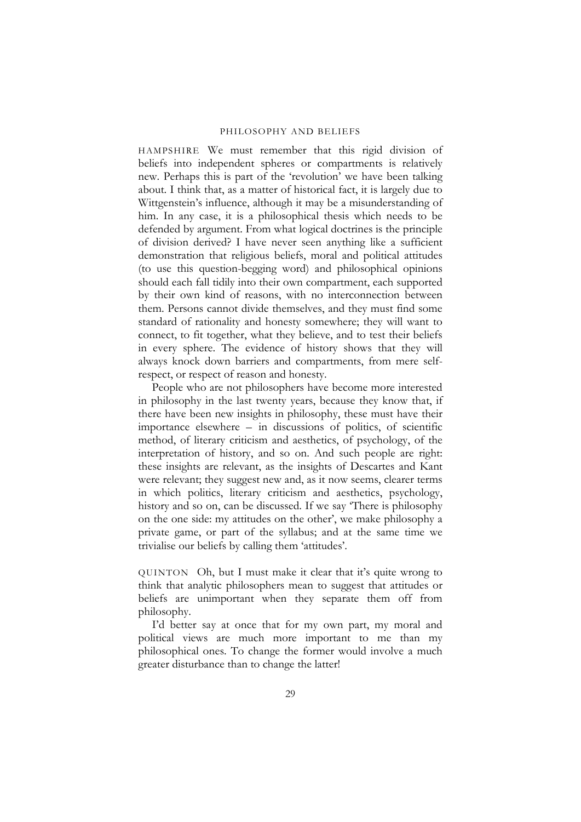HAMPSHIRE We must remember that this rigid division of beliefs into independent spheres or compartments is relatively new. Perhaps this is part of the 'revolution' we have been talking about. I think that, as a matter of historical fact, it is largely due to Wittgenstein's influence, although it may be a misunderstanding of him. In any case, it is a philosophical thesis which needs to be defended by argument. From what logical doctrines is the principle of division derived? I have never seen anything like a sufficient demonstration that religious beliefs, moral and political attitudes (to use this question-begging word) and philosophical opinions should each fall tidily into their own compartment, each supported by their own kind of reasons, with no interconnection between them. Persons cannot divide themselves, and they must find some standard of rationality and honesty somewhere; they will want to connect, to fit together, what they believe, and to test their beliefs in every sphere. The evidence of history shows that they will always knock down barriers and compartments, from mere selfrespect, or respect of reason and honesty.

People who are not philosophers have become more interested in philosophy in the last twenty years, because they know that, if there have been new insights in philosophy, these must have their importance elsewhere – in discussions of politics, of scientific method, of literary criticism and aesthetics, of psychology, of the interpretation of history, and so on. And such people are right: these insights are relevant, as the insights of Descartes and Kant were relevant; they suggest new and, as it now seems, clearer terms in which politics, literary criticism and aesthetics, psychology, history and so on, can be discussed. If we say 'There is philosophy on the one side: my attitudes on the other', we make philosophy a private game, or part of the syllabus; and at the same time we trivialise our beliefs by calling them 'attitudes'.

QUINTON Oh, but I must make it clear that it's quite wrong to think that analytic philosophers mean to suggest that attitudes or beliefs are unimportant when they separate them off from philosophy.

I'd better say at once that for my own part, my moral and political views are much more important to me than my philosophical ones. To change the former would involve a much greater disturbance than to change the latter!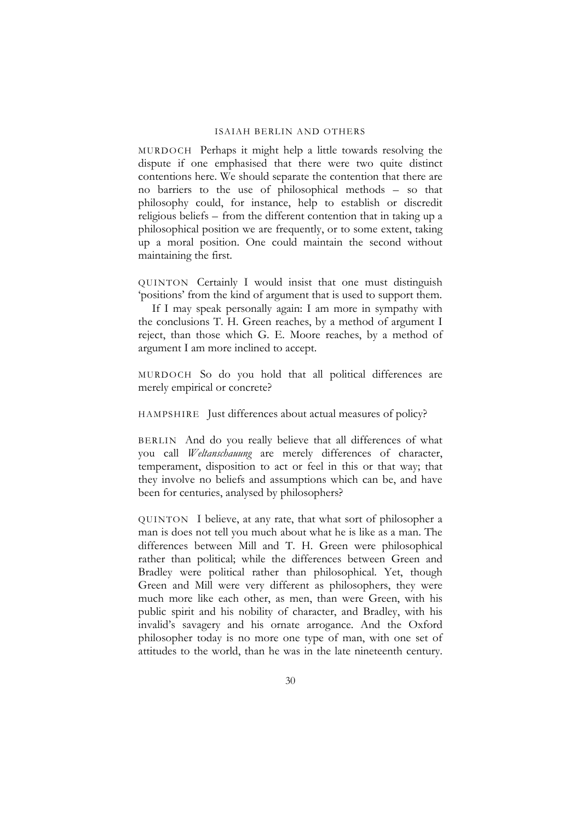MURDOCH Perhaps it might help a little towards resolving the dispute if one emphasised that there were two quite distinct contentions here. We should separate the contention that there are no barriers to the use of philosophical methods – so that philosophy could, for instance, help to establish or discredit religious beliefs – from the different contention that in taking up a philosophical position we are frequently, or to some extent, taking up a moral position. One could maintain the second without maintaining the first.

QUINTON Certainly I would insist that one must distinguish 'positions' from the kind of argument that is used to support them.

If I may speak personally again: I am more in sympathy with the conclusions T. H. Green reaches, by a method of argument I reject, than those which G. E. Moore reaches, by a method of argument I am more inclined to accept.

MURDOCH So do you hold that all political differences are merely empirical or concrete?

HAMPSHIRE Just differences about actual measures of policy?

BERLIN And do you really believe that all differences of what you call *Weltanschauung* are merely differences of character, temperament, disposition to act or feel in this or that way; that they involve no beliefs and assumptions which can be, and have been for centuries, analysed by philosophers?

QUINTON I believe, at any rate, that what sort of philosopher a man is does not tell you much about what he is like as a man. The differences between Mill and T. H. Green were philosophical rather than political; while the differences between Green and Bradley were political rather than philosophical. Yet, though Green and Mill were very different as philosophers, they were much more like each other, as men, than were Green, with his public spirit and his nobility of character, and Bradley, with his invalid's savagery and his ornate arrogance. And the Oxford philosopher today is no more one type of man, with one set of attitudes to the world, than he was in the late nineteenth century.